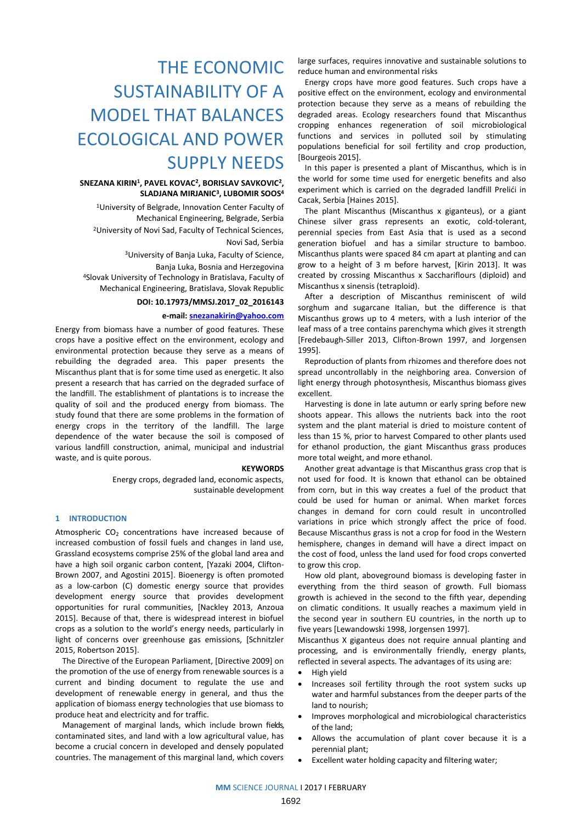# THE ECONOMIC SUSTAINABILITY OF A MODEL THAT BALANCES ECOLOGICAL AND POWER SUPPLY NEEDS

# **SNEZANA KIRIN<sup>1</sup> , PAVEL KOVAC<sup>2</sup> , BORISLAV SAVKOVIC<sup>2</sup> , SLADJANA MIRJANIC<sup>3</sup> , LUBOMIR SOOS<sup>4</sup>**

<sup>1</sup>University of Belgrade, Innovation Center Faculty of Mechanical Engineering, Belgrade, Serbia <sup>2</sup>University of Novi Sad, Faculty of Technical Sciences, Novi Sad, Serbia

<sup>3</sup>University of Banja Luka, Faculty of Science,

Banja Luka, Bosnia and Herzegovina <sup>4</sup>Slovak University of Technology in Bratislava, Faculty of Mechanical Engineering, Bratislava, Slovak Republic

# **DOI: 10.17973/MMSJ.2017\_02\_2016143**

# **e-mail: [snezanakirin@yahoo.com](mailto:snezanakirin@yahoo.com)**

Energy from biomass have a number of good features. These crops have a positive effect on the environment, ecology and environmental protection because they serve as a means of rebuilding the degraded area. This paper presents the Miscanthus plant that is for some time used as energetic. It also present a research that has carried on the degraded surface of the landfill. The establishment of plantations is to increase the quality of soil and the produced energy from biomass. The study found that there are some problems in the formation of energy crops in the territory of the landfill. The large dependence of the water because the soil is composed of various landfill construction, animal, municipal and industrial waste, and is quite porous.

#### **KEYWORDS**

Energy crops, degraded land, economic aspects, sustainable development

# **1 INTRODUCTION**

Atmospheric  $CO<sub>2</sub>$  concentrations have increased because of increased combustion of fossil fuels and changes in land use, Grassland ecosystems comprise 25% of the global land area and have a high soil organic carbon content, [Yazaki 2004, Clifton-Brown 2007, and Agostini 2015]. Bioenergy is often promoted as a low-carbon (C) domestic energy source that provides development energy source that provides development opportunities for rural communities, [Nackley 2013, Anzoua 2015]. Because of that, there is widespread interest in biofuel crops as a solution to the world's energy needs, particularly in light of concerns over greenhouse gas emissions, [Schnitzler 2015, Robertson 2015].

The Directive of the European Parliament, [Directive 2009] on the promotion of the use of energy from renewable sources is a current and binding document to regulate the use and development of renewable energy in general, and thus the application of biomass energy technologies that use biomass to produce heat and electricity and for traffic.

Management of marginal lands, which include brown fields, contaminated sites, and land with a low agricultural value, has become a crucial concern in developed and densely populated countries. The management of this marginal land, which covers large surfaces, requires innovative and sustainable solutions to reduce human and environmental risks

Energy crops have more good features. Such crops have a positive effect on the environment, ecology and environmental protection because they serve as a means of rebuilding the degraded areas. Ecology researchers found that Miscanthus cropping enhances regeneration of soil microbiological functions and services in polluted soil by stimulating populations beneficial for soil fertility and crop production, [Bourgeois 2015].

In this paper is presented a plant of Miscanthus, which is in the world for some time used for energetic benefits and also experiment which is carried on the degraded landfill Prelići in Cacak, Serbia [Haines 2015].

The plant Miscanthus (Miscanthus x giganteus), or a giant Chinese silver grass represents an exotic, cold-tolerant, perennial species from East Asia that is used as a second generation biofuel and has a similar structure to bamboo. Miscanthus plants were spaced 84 cm apart at planting and can grow to a height of 3 m before harvest, [Kirin 2013]. It was created by crossing Miscanthus x Sacchariflours (diploid) and Miscanthus x sinensis (tetraploid).

After a description of Miscanthus reminiscent of wild sorghum and sugarcane Italian, but the difference is that Miscanthus grows up to 4 meters, with a lush interior of the leaf mass of a tree contains parenchyma which gives it strength [Fredebaugh-Siller 2013, Clifton-Brown 1997, and Jorgensen 1995].

Reproduction of plants from rhizomes and therefore does not spread uncontrollably in the neighboring area. Conversion of light energy through photosynthesis, Miscanthus biomass gives excellent.

Harvesting is done in late autumn or early spring before new shoots appear. This allows the nutrients back into the root system and the plant material is dried to moisture content of less than 15 %, prior to harvest Compared to other plants used for ethanol production, the giant Miscanthus grass produces more total weight, and more ethanol.

Another great advantage is that Miscanthus grass crop that is not used for food. It is known that ethanol can be obtained from corn, but in this way creates a fuel of the product that could be used for human or animal. When market forces changes in demand for corn could result in uncontrolled variations in price which strongly affect the price of food. Because Miscanthus grass is not a crop for food in the Western hemisphere, changes in demand will have a direct impact on the cost of food, unless the land used for food crops converted to grow this crop.

How old plant, aboveground biomass is developing faster in everything from the third season of growth. Full biomass growth is achieved in the second to the fifth year, depending on climatic conditions. It usually reaches a maximum yield in the second year in southern EU countries, in the north up to five years [Lewandowski 1998, Jorgensen 1997].

Miscanthus X giganteus does not require annual planting and processing, and is environmentally friendly, energy plants, reflected in several aspects. The advantages of its using are:

- High yield
- Increases soil fertility through the root system sucks up water and harmful substances from the deeper parts of the land to nourish;
- Improves morphological and microbiological characteristics of the land;
- Allows the accumulation of plant cover because it is a perennial plant;
- Excellent water holding capacity and filtering water;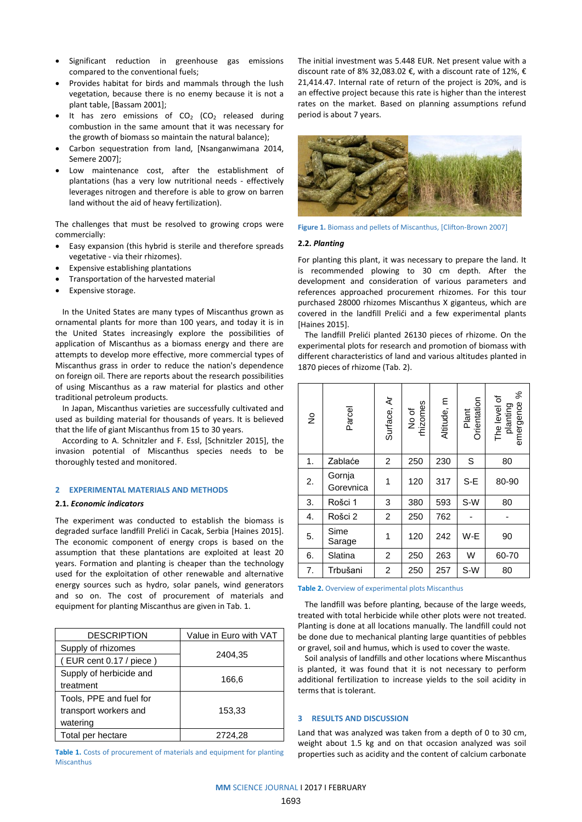- Significant reduction in greenhouse gas emissions compared to the conventional fuels;
- Provides habitat for birds and mammals through the lush vegetation, because there is no enemy because it is not a plant table, [Bassam 2001];
- It has zero emissions of  $CO<sub>2</sub>$  (CO<sub>2</sub> released during combustion in the same amount that it was necessary for the growth of biomass so maintain the natural balance);
- Carbon sequestration from land, [Nsanganwimana 2014, Semere 2007];
- Low maintenance cost, after the establishment of plantations (has a very low nutritional needs - effectively leverages nitrogen and therefore is able to grow on barren land without the aid of heavy fertilization).

The challenges that must be resolved to growing crops were commercially:

- Easy expansion (this hybrid is sterile and therefore spreads vegetative - via their rhizomes).
- Expensive establishing plantations
- Transportation of the harvested material
- Expensive storage.

In the United States are many types of Miscanthus grown as ornamental plants for more than 100 years, and today it is in the United States increasingly explore the possibilities of application of Miscanthus as a biomass energy and there are attempts to develop more effective, more commercial types of Miscanthus grass in order to reduce the nation's dependence on foreign oil. There are reports about the research possibilities of using Miscanthus as a raw material for plastics and other traditional petroleum products.

In Japan, Miscanthus varieties are successfully cultivated and used as building material for thousands of years. It is believed that the life of giant Miscanthus from 15 to 30 years.

According to A. Schnitzler and F. Essl, [Schnitzler 2015], the invasion potential of Miscanthus species needs to be thoroughly tested and monitored.

### **2 EXPERIMENTAL MATERIALS AND METHODS**

## **2.1.** *Economic indicators*

The experiment was conducted to establish the biomass is degraded surface landfill Prelići in Cacak, Serbia [Haines 2015]. The economic component of energy crops is based on the assumption that these plantations are exploited at least 20 years. Formation and planting is cheaper than the technology used for the exploitation of other renewable and alternative energy sources such as hydro, solar panels, wind generators and so on. The cost of procurement of materials and equipment for planting Miscanthus are given in Tab. 1.

| <b>DESCRIPTION</b>      | Value in Euro with VAT |  |  |
|-------------------------|------------------------|--|--|
| Supply of rhizomes      | 2404,35                |  |  |
| (EUR cent 0.17 / piece) |                        |  |  |
| Supply of herbicide and | 166,6                  |  |  |
| treatment               |                        |  |  |
| Tools, PPE and fuel for |                        |  |  |
| transport workers and   | 153,33                 |  |  |
| watering                |                        |  |  |
| Total per hectare       | 2724,28                |  |  |

**Table 1.** Costs of procurement of materials and equipment for planting Miscanthus

The initial investment was 5.448 EUR. Net present value with a discount rate of 8% 32,083,02 €, with a discount rate of 12%, € 21,414.47. Internal rate of return of the project is 20%, and is an effective project because this rate is higher than the interest rates on the market. Based on planning assumptions refund period is about 7 years.



Figure 1. Biomass and pellets of Miscanthus, [Clifton-Brown 2007]

## **2.2.** *Planting*

For planting this plant, it was necessary to prepare the land. It is recommended plowing to 30 cm depth. After the development and consideration of various parameters and references approached procurement rhizomes. For this tour purchased 28000 rhizomes Miscanthus X giganteus, which are covered in the landfill Prelići and a few experimental plants [Haines 2015].

The landfill Prelići planted 26130 pieces of rhizome. On the experimental plots for research and promotion of biomass with different characteristics of land and various altitudes planted in 1870 pieces of rhizome (Tab. 2).

| $\frac{1}{2}$ | Parcel              | Surface, Ar    | No of<br>thizomes | Altitude, m | Plant<br>Orientation | ℅<br>The level of<br>emergence<br>planting |
|---------------|---------------------|----------------|-------------------|-------------|----------------------|--------------------------------------------|
| 1.            | Zablaće             | $\overline{2}$ | 250               | 230         | S                    | 80                                         |
| 2.            | Gornja<br>Gorevnica | 1              | 120               | 317         | S-E                  | 80-90                                      |
| 3.            | Rošci 1             | 3              | 380               | 593         | S-W                  | 80                                         |
| 4.            | Rošci 2             | $\overline{c}$ | 250               | 762         |                      |                                            |
| 5.            | Sime<br>Sarage      | 1              | 120               | 242         | W-E                  | 90                                         |
| 6.            | Slatina             | $\overline{2}$ | 250               | 263         | W                    | 60-70                                      |
| 7.            | Trbušani            | 2              | 250               | 257         | S-W                  | 80                                         |

#### **Table 2.** Overview of experimental plots Miscanthus

The landfill was before planting, because of the large weeds, treated with total herbicide while other plots were not treated. Planting is done at all locations manually. The landfill could not be done due to mechanical planting large quantities of pebbles or gravel, soil and humus, which is used to cover the waste.

Soil analysis of landfills and other locations where Miscanthus is planted, it was found that it is not necessary to perform additional fertilization to increase yields to the soil acidity in terms that is tolerant.

## **3 RESULTS AND DISCUSSION**

Land that was analyzed was taken from a depth of 0 to 30 cm, weight about 1.5 kg and on that occasion analyzed was soil properties such as acidity and the content of calcium carbonate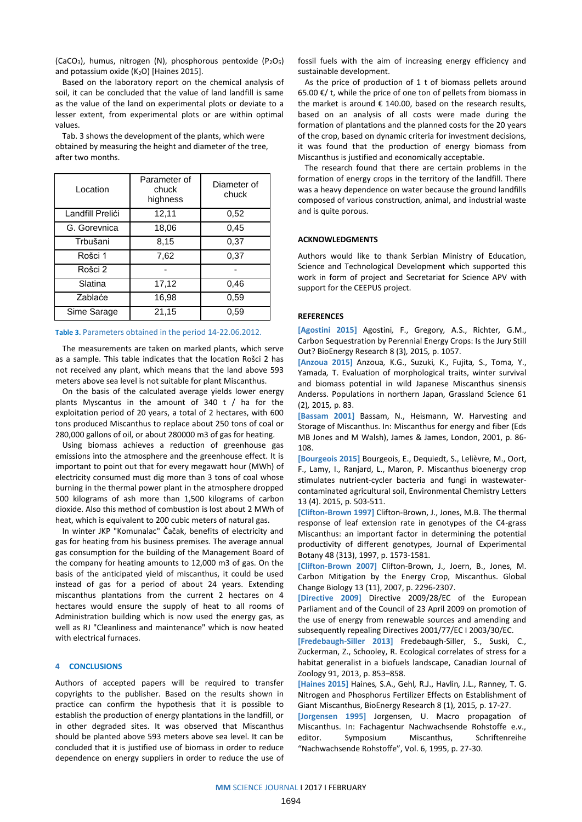(CaCO<sub>3</sub>), humus, nitrogen (N), phosphorous pentoxide (P<sub>2</sub>O<sub>5</sub>) and potassium oxide  $(K_2O)$  [Haines 2015].

Based on the laboratory report on the chemical analysis of soil, it can be concluded that the value of land landfill is same as the value of the land on experimental plots or deviate to a lesser extent, from experimental plots or are within optimal values.

Location Parameter of chuck highness Diameter of chuck Landfill Prelići | 12,11 | 0,52 G. Gorevnica | 18,06 | 0,45 Trbušani 8,15 0,37 Rošci 1 7,62 1 0,37 Rošci 2 | - | -Slatina 17,12 0,46 Zablaće **16,98 | 0,59** Sime Sarage | 21,15 | 0,59

Tab. 3 shows the development of the plants, which were obtained by measuring the height and diameter of the tree, after two months.

#### **Table 3.** Parameters obtained in the period 14-22.06.2012.

The measurements are taken on marked plants, which serve as a sample. This table indicates that the location Rošci 2 has not received any plant, which means that the land above 593 meters above sea level is not suitable for plant Miscanthus.

On the basis of the calculated average yields lower energy plants Myscantus in the amount of 340 t / ha for the exploitation period of 20 years, a total of 2 hectares, with 600 tons produced Miscanthus to replace about 250 tons of coal or 280,000 gallons of oil, or about 280000 m3 of gas for heating.

Using biomass achieves a reduction of greenhouse gas emissions into the atmosphere and the greenhouse effect. It is important to point out that for every megawatt hour (MWh) of electricity consumed must dig more than 3 tons of coal whose burning in the thermal power plant in the atmosphere dropped 500 kilograms of ash more than 1,500 kilograms of carbon dioxide. Also this method of combustion is lost about 2 MWh of heat, which is equivalent to 200 cubic meters of natural gas.

In winter JKP "Komunalac" Čačak, benefits of electricity and gas for heating from his business premises. The average annual gas consumption for the building of the Management Board of the company for heating amounts to 12,000 m3 of gas. On the basis of the anticipated yield of miscanthus, it could be used instead of gas for a period of about 24 years. Extending miscanthus plantations from the current 2 hectares on 4 hectares would ensure the supply of heat to all rooms of Administration building which is now used the energy gas, as well as RJ "Cleanliness and maintenance" which is now heated with electrical furnaces.

# **4 CONCLUSIONS**

Authors of accepted papers will be required to transfer copyrights to the publisher. Based on the results shown in practice can confirm the hypothesis that it is possible to establish the production of energy plantations in the landfill, or in other degraded sites. It was observed that Miscanthus should be planted above 593 meters above sea level. It can be concluded that it is justified use of biomass in order to reduce dependence on energy suppliers in order to reduce the use of fossil fuels with the aim of increasing energy efficiency and sustainable development.

As the price of production of 1 t of biomass pellets around 65.00 €/ t, while the price of one ton of pellets from biomass in the market is around  $\epsilon$  140.00, based on the research results, based on an analysis of all costs were made during the formation of plantations and the planned costs for the 20 years of the crop, based on dynamic criteria for investment decisions, it was found that the production of energy biomass from Miscanthus is justified and economically acceptable.

The research found that there are certain problems in the formation of energy crops in the territory of the landfill. There was a heavy dependence on water because the ground landfills composed of various construction, animal, and industrial waste and is quite porous.

#### **ACKNOWLEDGMENTS**

Authors would like to thank Serbian Ministry of Education, Science and Technological Development which supported this work in form of project and Secretariat for Science APV with support for the CEEPUS project.

#### **REFERENCES**

**[Agostini 2015]** Agostini*,* F., Gregory*,* A.S., Richter*,* G.M., Carbon Sequestration by Perennial Energy Crops: Is the Jury Still Out? BioEnergy Research 8 (3)*,* 2015*,* p. 1057.

**[Anzoua 2015]** Anzoua*,* K.G., Suzuki*,* K., Fujita*,* S., Toma*,* Y., Yamada*,* T. Evaluation of morphological traits, winter survival and biomass potential in wild Japanese Miscanthus sinensis Anderss. Populations in northern Japan, Grassland Science 61 (2)*,* 2015*,* p. 83.

**[Bassam 2001]** Bassam, N., Heismann, W. Harvesting and Storage of Miscanthus. In: Miscanthus for energy and fiber (Eds MB Jones and M Walsh), James & James, London, 2001, p. 86- 108.

**[Bourgeois 2015]** Bourgeois, E., Dequiedt, S., Lelièvre, M., Oort, F., Lamy, I., Ranjard, L., Maron, P. Miscanthus bioenergy crop stimulates nutrient-cycler bacteria and fungi in wastewatercontaminated agricultural soil, Environmental Chemistry Letters 13 (4). 2015, p. 503-511.

**[Clifton-Brown 1997]** Clifton-Brown, J., Jones, M.B. The thermal response of leaf extension rate in genotypes of the C4-grass Miscanthus: an important factor in determining the potential productivity of different genotypes, Journal of Experimental Botany 48 (313), 1997, p. 1573-1581.

**[Clifton-Brown 2007]** Clifton-Brown, J., Joern, B., Jones, M. Carbon Mitigation by the Energy Crop, Miscanthus. Global Change Biology 13 (11), 2007, p. 2296-2307.

**[Directive 2009]** Directive 2009/28/EC of the European Parliament and of the Council of 23 April 2009 on promotion of the use of energy from renewable sources and amending and subsequently repealing Directives 2001/77/EC I 2003/30/EC.

**[Fredebaugh-Siller 2013]** Fredebaugh-Siller, S., Suski, C., Zuckerman, Z., Schooley, R. Ecological correlates of stress for a habitat generalist in a biofuels landscape, Canadian Journal of Zoology 91, 2013, p. 853–858.

**[Haines 2015]** Haines*,* S.A., Gehl*,* R.J., Havlin*,* J.L., Ranney*,* T. G. Nitrogen and Phosphorus Fertilizer Effects on Establishment of Giant Miscanthus, BioEnergy Research 8 (1)*,* 2015*,* p. 17-27.

**[Jorgensen 1995]** Jorgensen, U. Macro propagation of Miscanthus. In: Fachagentur Nachwachsende Rohstoffe e.v., editor. Symposium Miscanthus, Schriftenreihe "Nachwachsende Rohstoffe", Vol. 6, 1995, p. 27-30.